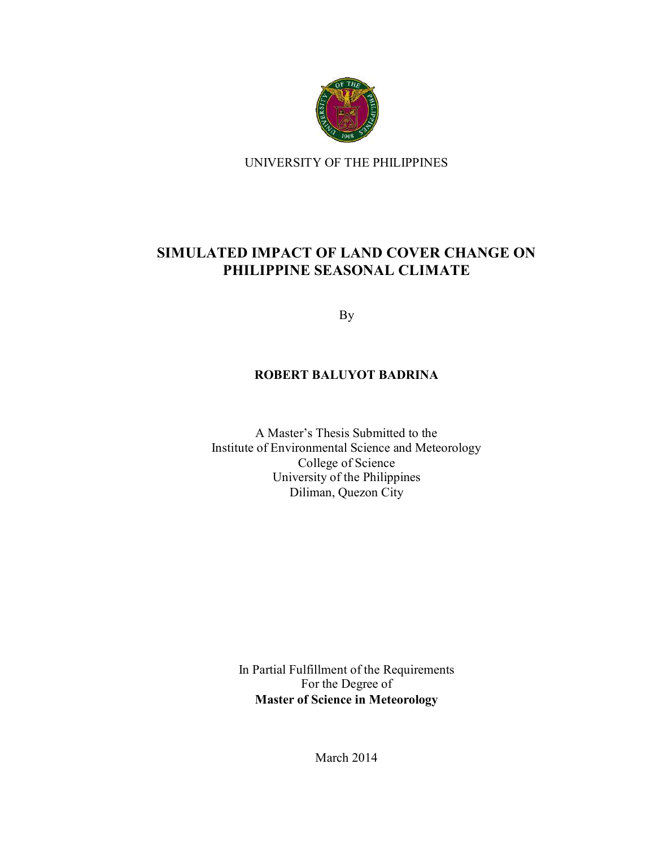

UNIVERSITY OF THE PHILIPPINES

## **SIMULATED IMPACT OF LAND COVER CHANGE ON PHILIPPINE SEASONAL CLIMATE**

By

## **ROBERT BALUYOT BADRINA**

A Master's Thesis Submitted to the Institute of Environmental Science and Meteorology College of Science University of the Philippines Diliman, Quezon City

In Partial Fulfillment of the Requirements For the Degree of **Master of Science in Meteorology** 

March 2014